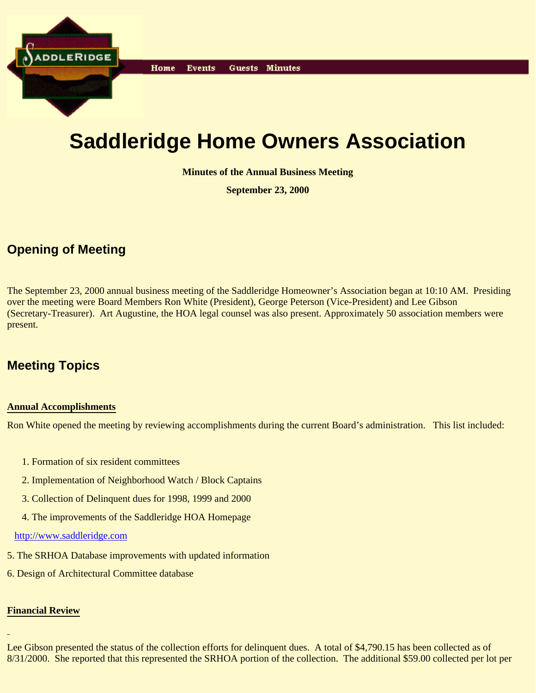

# **Saddleridge Home Owners Association**

**Minutes of the Annual Business Meeting**

**September 23, 2000**

# **Opening of Meeting**

The September 23, 2000 annual business meeting of the Saddleridge Homeowner's Association began at 10:10 AM. Presiding over the meeting were Board Members Ron White (President), George Peterson (Vice-President) and Lee Gibson (Secretary-Treasurer). Art Augustine, the HOA legal counsel was also present. Approximately 50 association members were present.

# **Meeting Topics**

#### **Annual Accomplishments**

Ron White opened the meeting by reviewing accomplishments during the current Board's administration. This list included:

- 1. Formation of six resident committees
- 2. Implementation of Neighborhood Watch / Block Captains
- 3. Collection of Delinquent dues for 1998, 1999 and 2000
- 4. The improvements of the Saddleridge HOA Homepage

http://www.saddleridge.com

- 5. The SRHOA Database improvements with updated information
- 6. Design of Architectural Committee database

## **Financial Review**

Lee Gibson presented the status of the collection efforts for delinquent dues. A total of \$4,790.15 has been collected as of 8/31/2000. She reported that this represented the SRHOA portion of the collection. The additional \$59.00 collected per lot per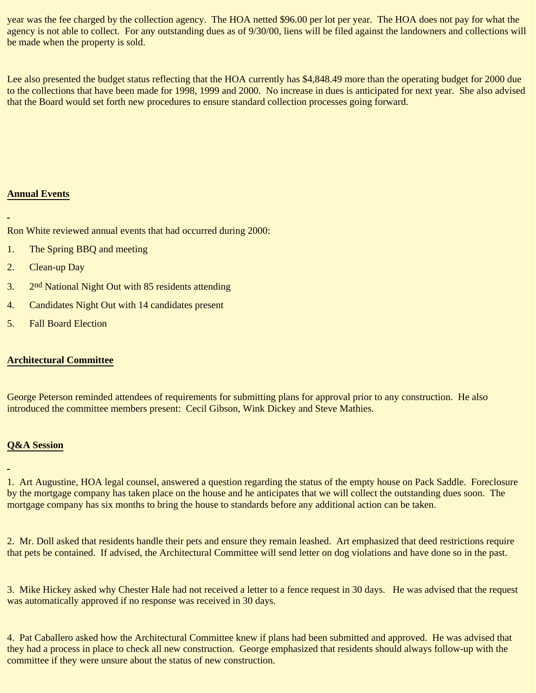year was the fee charged by the collection agency. The HOA netted \$96.00 per lot per year. The HOA does not pay for what the agency is not able to collect. For any outstanding dues as of 9/30/00, liens will be filed against the landowners and collections will be made when the property is sold.

Lee also presented the budget status reflecting that the HOA currently has \$4,848.49 more than the operating budget for 2000 due to the collections that have been made for 1998, 1999 and 2000. No increase in dues is anticipated for next year. She also advised that the Board would set forth new procedures to ensure standard collection processes going forward.

## **Annual Events**

Ron White reviewed annual events that had occurred during 2000:

- 1. The Spring BBQ and meeting
- 2. Clean-up Day
- 3.  $2<sup>nd</sup> National Night Out with 85 residents attending$
- 4. Candidates Night Out with 14 candidates present
- 5. Fall Board Election

#### **Architectural Committee**

George Peterson reminded attendees of requirements for submitting plans for approval prior to any construction. He also introduced the committee members present: Cecil Gibson, Wink Dickey and Steve Mathies.

## **Q&A Session**

1. Art Augustine, HOA legal counsel, answered a question regarding the status of the empty house on Pack Saddle. Foreclosure by the mortgage company has taken place on the house and he anticipates that we will collect the outstanding dues soon. The mortgage company has six months to bring the house to standards before any additional action can be taken.

2. Mr. Doll asked that residents handle their pets and ensure they remain leashed. Art emphasized that deed restrictions require that pets be contained. If advised, the Architectural Committee will send letter on dog violations and have done so in the past.

3. Mike Hickey asked why Chester Hale had not received a letter to a fence request in 30 days. He was advised that the request was automatically approved if no response was received in 30 days.

4. Pat Caballero asked how the Architectural Committee knew if plans had been submitted and approved. He was advised that they had a process in place to check all new construction. George emphasized that residents should always follow-up with the committee if they were unsure about the status of new construction.